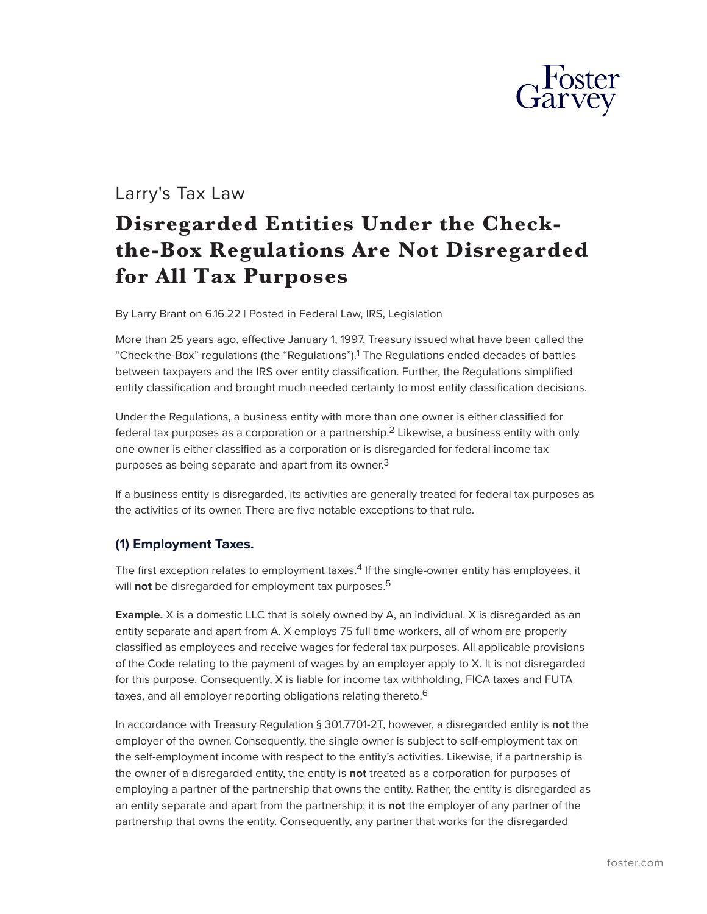

# Larry's Tax Law

# **Disregarded Entities Under the Checkthe-Box Regulations Are Not Disregarded for All Tax Purposes**

By Larry Brant on 6.16.22 | Posted in Federal Law, IRS, Legislation

More than 25 years ago, effective January 1, 1997, Treasury issued what have been called the "Check-the-Box" regulations (the "Regulations").<sup>1</sup> The Regulations ended decades of battles between taxpayers and the IRS over entity classification. Further, the Regulations simplified entity classification and brought much needed certainty to most entity classification decisions.

Under the Regulations, a business entity with more than one owner is either classified for federal tax purposes as a corporation or a partnership.<sup>2</sup> Likewise, a business entity with only one owner is either classified as a corporation or is disregarded for federal income tax purposes as being separate and apart from its owner.<sup>3</sup>

If a business entity is disregarded, its activities are generally treated for federal tax purposes as the activities of its owner. There are five notable exceptions to that rule.

#### **(1) Employment Taxes.**

The first exception relates to employment taxes.<sup>4</sup> If the single-owner entity has employees, it will **not** be disregarded for employment tax purposes.<sup>5</sup>

**Example.** X is a domestic LLC that is solely owned by A, an individual. X is disregarded as an entity separate and apart from A. X employs 75 full time workers, all of whom are properly classified as employees and receive wages for federal tax purposes. All applicable provisions of the Code relating to the payment of wages by an employer apply to X. It is not disregarded for this purpose. Consequently, X is liable for income tax withholding, FICA taxes and FUTA taxes, and all employer reporting obligations relating thereto.<sup>6</sup>

In accordance with Treasury Regulation § 301.7701-2T, however, a disregarded entity is **not** the employer of the owner. Consequently, the single owner is subject to self-employment tax on the self-employment income with respect to the entity's activities. Likewise, if a partnership is the owner of a disregarded entity, the entity is **not** treated as a corporation for purposes of employing a partner of the partnership that owns the entity. Rather, the entity is disregarded as an entity separate and apart from the partnership; it is **not** the employer of any partner of the partnership that owns the entity. Consequently, any partner that works for the disregarded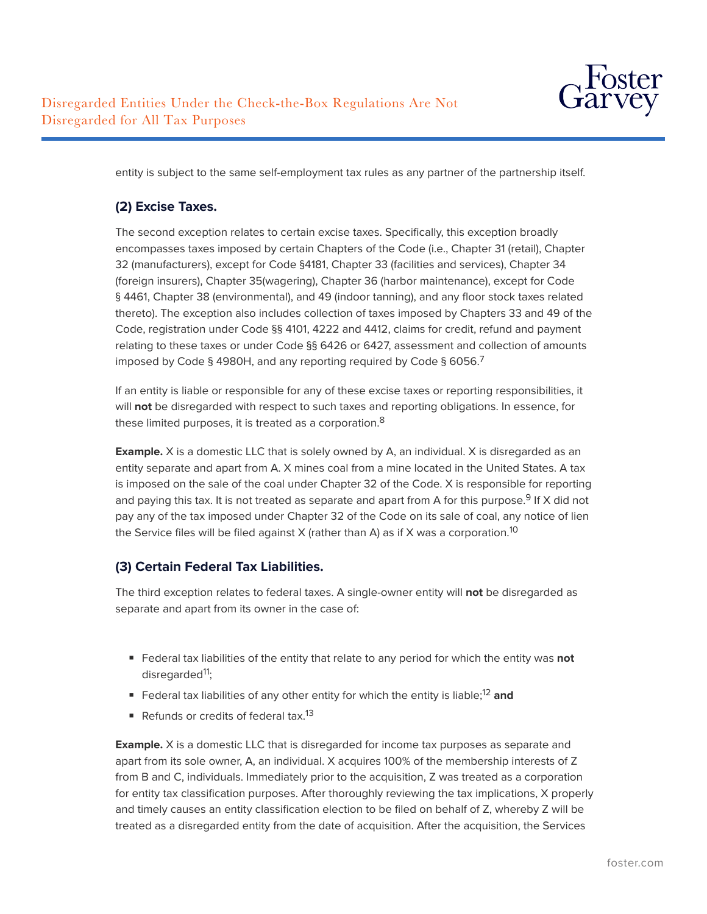

entity is subject to the same self-employment tax rules as any partner of the partnership itself.

### **(2) Excise Taxes.**

The second exception relates to certain excise taxes. Specifically, this exception broadly encompasses taxes imposed by certain Chapters of the Code (i.e., Chapter 31 (retail), Chapter 32 (manufacturers), except for Code §4181, Chapter 33 (facilities and services), Chapter 34 (foreign insurers), Chapter 35(wagering), Chapter 36 (harbor maintenance), except for Code § 4461, Chapter 38 (environmental), and 49 (indoor tanning), and any floor stock taxes related thereto). The exception also includes collection of taxes imposed by Chapters 33 and 49 of the Code, registration under Code §§ 4101, 4222 and 4412, claims for credit, refund and payment relating to these taxes or under Code §§ 6426 or 6427, assessment and collection of amounts imposed by Code § 4980H, and any reporting required by Code § 6056.7

If an entity is liable or responsible for any of these excise taxes or reporting responsibilities, it will **not** be disregarded with respect to such taxes and reporting obligations. In essence, for these limited purposes, it is treated as a corporation.<sup>8</sup>

**Example.** X is a domestic LLC that is solely owned by A, an individual. X is disregarded as an entity separate and apart from A. X mines coal from a mine located in the United States. A tax is imposed on the sale of the coal under Chapter 32 of the Code. X is responsible for reporting and paying this tax. It is not treated as separate and apart from A for this purpose.<sup>9</sup> If X did not pay any of the tax imposed under Chapter 32 of the Code on its sale of coal, any notice of lien the Service files will be filed against X (rather than A) as if X was a corporation.<sup>10</sup>

## **(3) Certain Federal Tax Liabilities.**

The third exception relates to federal taxes. A single-owner entity will **not** be disregarded as separate and apart from its owner in the case of:

- Federal tax liabilities of the entity that relate to any period for which the entity was **not** disregarded<sup>11</sup>;
- Federal tax liabilities of any other entity for which the entity is liable;<sup>12</sup> and
- Refunds or credits of federal tax.<sup>13</sup>

**Example.** X is a domestic LLC that is disregarded for income tax purposes as separate and apart from its sole owner, A, an individual. X acquires 100% of the membership interests of Z from B and C, individuals. Immediately prior to the acquisition, Z was treated as a corporation for entity tax classification purposes. After thoroughly reviewing the tax implications, X properly and timely causes an entity classification election to be filed on behalf of Z, whereby Z will be treated as a disregarded entity from the date of acquisition. After the acquisition, the Services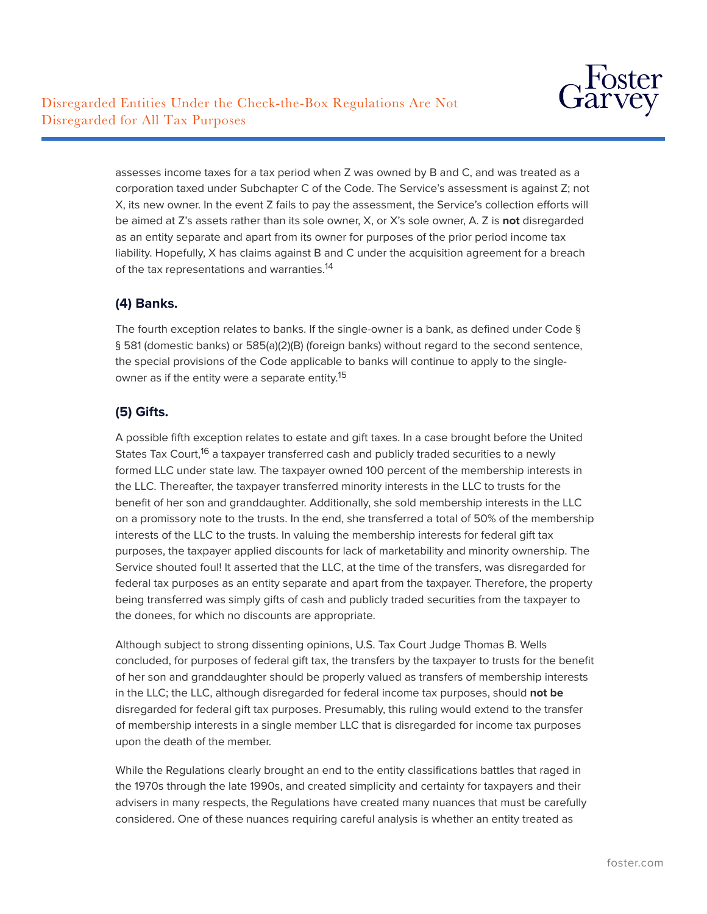

assesses income taxes for a tax period when Z was owned by B and C, and was treated as a corporation taxed under Subchapter C of the Code. The Service's assessment is against Z; not X, its new owner. In the event Z fails to pay the assessment, the Service's collection efforts will be aimed at Z's assets rather than its sole owner, X, or X's sole owner, A. Z is **not** disregarded as an entity separate and apart from its owner for purposes of the prior period income tax liability. Hopefully, X has claims against B and C under the acquisition agreement for a breach of the tax representations and warranties.<sup>14</sup>

### **(4) Banks.**

The fourth exception relates to banks. If the single-owner is a bank, as defined under Code § § 581 (domestic banks) or 585(a)(2)(B) (foreign banks) without regard to the second sentence, the special provisions of the Code applicable to banks will continue to apply to the singleowner as if the entity were a separate entity.<sup>15</sup>

#### **(5) Gifts.**

A possible fifth exception relates to estate and gift taxes. In a case brought before the United States Tax Court,<sup>16</sup> a taxpayer transferred cash and publicly traded securities to a newly formed LLC under state law. The taxpayer owned 100 percent of the membership interests in the LLC. Thereafter, the taxpayer transferred minority interests in the LLC to trusts for the benefit of her son and granddaughter. Additionally, she sold membership interests in the LLC on a promissory note to the trusts. In the end, she transferred a total of 50% of the membership interests of the LLC to the trusts. In valuing the membership interests for federal gift tax purposes, the taxpayer applied discounts for lack of marketability and minority ownership. The Service shouted foul! It asserted that the LLC, at the time of the transfers, was disregarded for federal tax purposes as an entity separate and apart from the taxpayer. Therefore, the property being transferred was simply gifts of cash and publicly traded securities from the taxpayer to the donees, for which no discounts are appropriate.

Although subject to strong dissenting opinions, U.S. Tax Court Judge Thomas B. Wells concluded, for purposes of federal gift tax, the transfers by the taxpayer to trusts for the benefit of her son and granddaughter should be properly valued as transfers of membership interests in the LLC; the LLC, although disregarded for federal income tax purposes, should **not be** disregarded for federal gift tax purposes. Presumably, this ruling would extend to the transfer of membership interests in a single member LLC that is disregarded for income tax purposes upon the death of the member.

While the Regulations clearly brought an end to the entity classifications battles that raged in the 1970s through the late 1990s, and created simplicity and certainty for taxpayers and their advisers in many respects, the Regulations have created many nuances that must be carefully considered. One of these nuances requiring careful analysis is whether an entity treated as